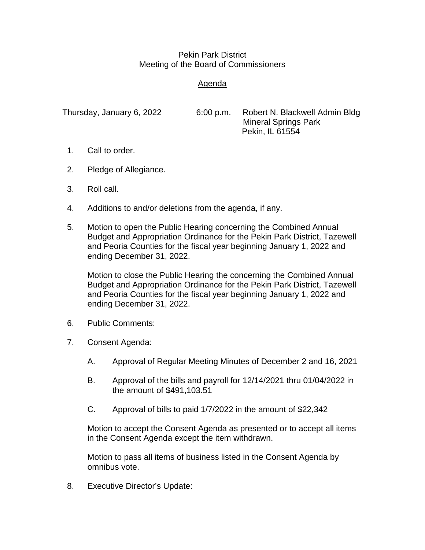## Pekin Park District Meeting of the Board of Commissioners

## **Agenda**

- Thursday, January 6, 2022 6:00 p.m. Robert N. Blackwell Admin Bldg Mineral Springs Park Pekin, IL 61554
- 1. Call to order.
- 2. Pledge of Allegiance.
- 3. Roll call.
- 4. Additions to and/or deletions from the agenda, if any.
- 5. Motion to open the Public Hearing concerning the Combined Annual Budget and Appropriation Ordinance for the Pekin Park District, Tazewell and Peoria Counties for the fiscal year beginning January 1, 2022 and ending December 31, 2022.

Motion to close the Public Hearing the concerning the Combined Annual Budget and Appropriation Ordinance for the Pekin Park District, Tazewell and Peoria Counties for the fiscal year beginning January 1, 2022 and ending December 31, 2022.

- 6. Public Comments:
- 7. Consent Agenda:
	- A. Approval of Regular Meeting Minutes of December 2 and 16, 2021
	- B. Approval of the bills and payroll for 12/14/2021 thru 01/04/2022 in the amount of \$491,103.51
	- C. Approval of bills to paid 1/7/2022 in the amount of \$22,342

Motion to accept the Consent Agenda as presented or to accept all items in the Consent Agenda except the item withdrawn.

Motion to pass all items of business listed in the Consent Agenda by omnibus vote.

8. Executive Director's Update: